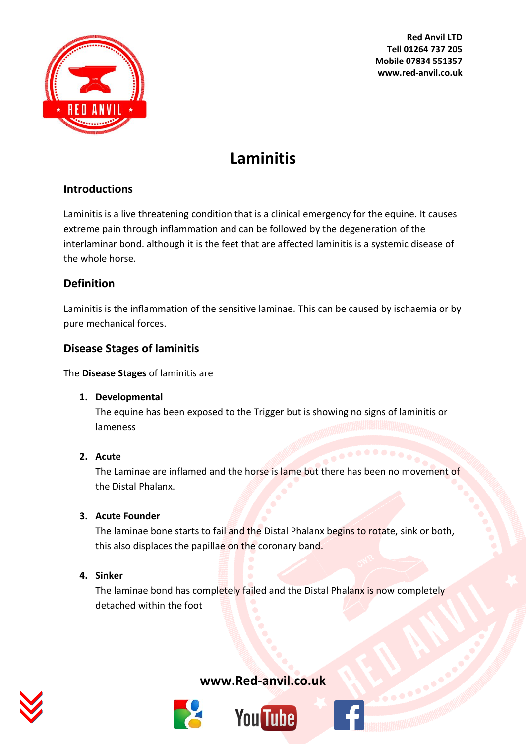

# **Laminitis**

## **Introductions**

Laminitis is a live threatening condition that is a clinical emergency for the equine. It causes extreme pain through inflammation and can be followed by the degeneration of the interlaminar bond. although it is the feet that are affected laminitis is a systemic disease of the whole horse.

## **Definition**

Laminitis is the inflammation of the sensitive laminae. This can be caused by ischaemia or by pure mechanical forces.

## **Disease Stages of laminitis**

The **Disease Stages** of laminitis are

## **1. Developmental**

The equine has been exposed to the Trigger but is showing no signs of laminitis or lameness

## **2. Acute**

The Laminae are inflamed and the horse is lame but there has been no movement of the Distal Phalanx.

## **3. Acute Founder**

The laminae bone starts to fail and the Distal Phalanx begins to rotate, sink or both, this also displaces the papillae on the coronary band.

## **4. Sinker**

The laminae bond has completely failed and the Distal Phalanx is now completely detached within the foot





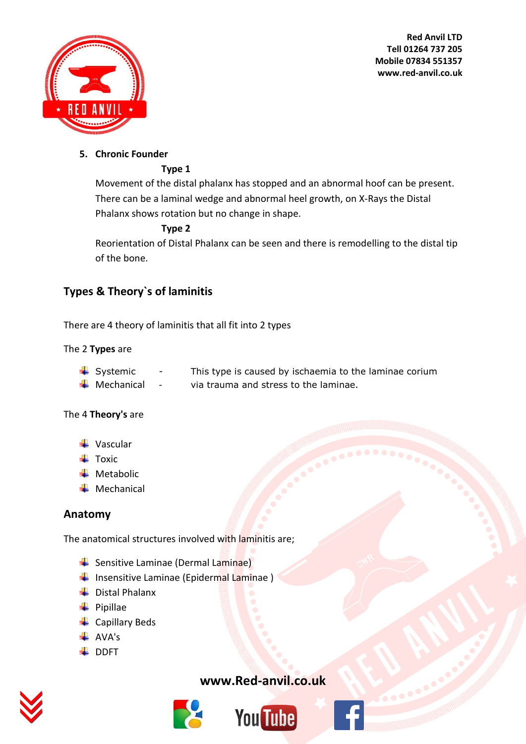



## **5. Chronic Founder**

#### **Type 1**

Movement of the distal phalanx has stopped and an abnormal hoof can be present. There can be a laminal wedge and abnormal heel growth, on X-Rays the Distal Phalanx shows rotation but no change in shape.

#### **Type 2**

Reorientation of Distal Phalanx can be seen and there is remodelling to the distal tip of the bone.

## **Types & Theory`s of laminitis**

There are 4 theory of laminitis that all fit into 2 types

#### The 2 **Types** are

- $\frac{1}{2}$  Systemic This type is caused by ischaemia to the laminae corium
- $\frac{1}{\sqrt{2}}$  Mechanical via trauma and stress to the laminae.

#### The 4 **Theory's** are

- $\downarrow$  Vascular
- $\pm$  Toxic
- $\blacksquare$  Metabolic
- $\blacksquare$  Mechanical

## **Anatomy**

The anatomical structures involved with laminitis are;

- **E** Sensitive Laminae (Dermal Laminae)
- $\downarrow$  Insensitive Laminae (Epidermal Laminae)
- $\overline{\phantom{a}}$  Distal Phalanx
- $\leftarrow$  Pipillae
- **←** Capillary Beds
- $\overline{\phantom{a}}$  AVA's
- $\downarrow$  DDFT





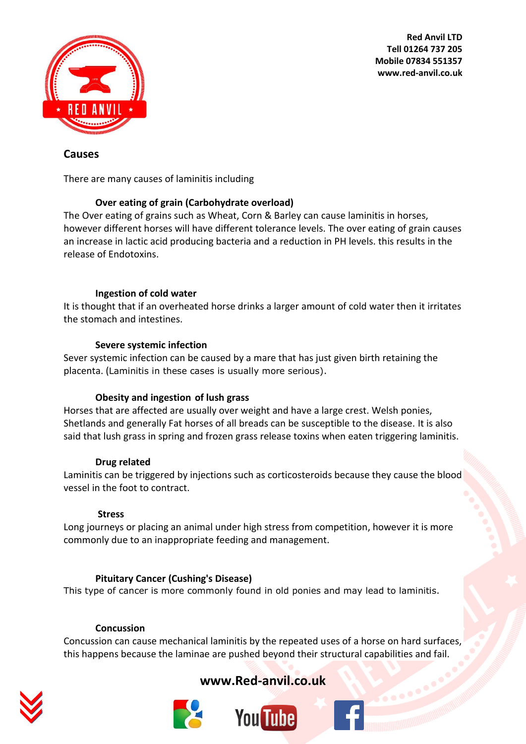

## **Causes**

There are many causes of laminitis including

#### **Over eating of grain (Carbohydrate overload)**

The Over eating of grains such as Wheat, Corn & Barley can cause laminitis in horses, however different horses will have different tolerance levels. The over eating of grain causes an increase in lactic acid producing bacteria and a reduction in PH levels. this results in the release of Endotoxins.

#### **Ingestion of cold water**

It is thought that if an overheated horse drinks a larger amount of cold water then it irritates the stomach and intestines.

#### **Severe systemic infection**

Sever systemic infection can be caused by a mare that has just given birth retaining the placenta. (Laminitis in these cases is usually more serious).

#### **Obesity and ingestion of lush grass**

Horses that are affected are usually over weight and have a large crest. Welsh ponies, Shetlands and generally Fat horses of all breads can be susceptible to the disease. It is also said that lush grass in spring and frozen grass release toxins when eaten triggering laminitis.

#### **Drug related**

Laminitis can be triggered by injections such as corticosteroids because they cause the blood vessel in the foot to contract.

#### **Stress**

Long journeys or placing an animal under high stress from competition, however it is more commonly due to an inappropriate feeding and management.

#### **Pituitary Cancer [\(Cushing's Disease\)](http://www.horsechannel.com/horse-health/equine-cushings-disease-24321.aspx)**

This type of cancer is more commonly found in old ponies and may lead to laminitis.

#### **Concussion**

Concussion can cause mechanical laminitis by the repeated uses of a horse on hard surfaces, this happens because the laminae are pushed beyond their structural capabilities and fail.





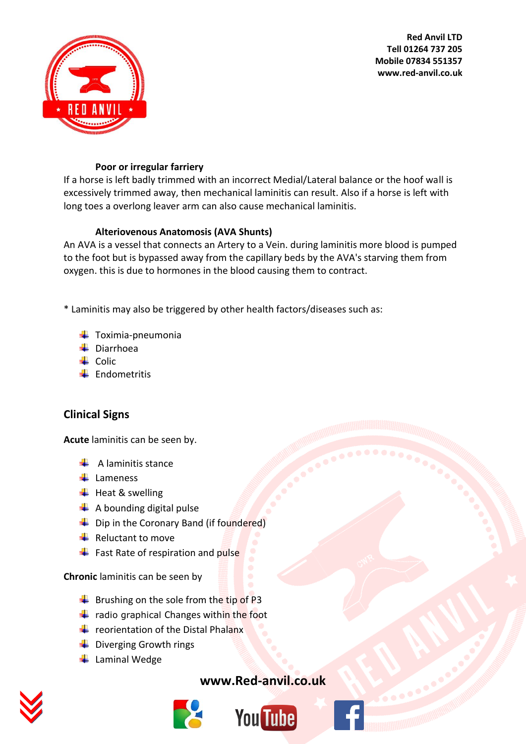



#### **Poor or irregular farriery**

If a horse is left badly trimmed with an incorrect Medial/Lateral balance or the hoof wall is excessively trimmed away, then mechanical laminitis can result. Also if a horse is left with long toes a overlong leaver arm can also cause mechanical laminitis.

#### **Alteriovenous Anatomosis (AVA Shunts)**

An AVA is a vessel that connects an Artery to a Vein. during laminitis more blood is pumped to the foot but is bypassed away from the capillary beds by the AVA's starving them from oxygen. this is due to hormones in the blood causing them to contract.

\* Laminitis may also be triggered by other health factors/diseases such as:

- $\ddot{\bullet}$  Toximia-pneumonia
- **↓** Diarrhoea
- $\leftarrow$  Colic
- $\leftarrow$  Endometritis

## **Clinical Signs**

**Acute** laminitis can be seen by.

- $\frac{1}{\sqrt{2}}$  A laminitis stance
- $\downarrow$  Lameness
- $\bigstar$  Heat & swelling
- $\leftarrow$  A bounding digital pulse
- $\leftarrow$  Dip in the Coronary Band (if foundered)
- $\frac{1}{\sqrt{2}}$  Reluctant to move
- $\leftarrow$  Fast Rate of respiration and pulse

**Chronic** laminitis can be seen by

- $\overline{\phantom{a}}$  Brushing on the sole from the tip of P3
- $\frac{1}{\sqrt{2}}$  radio graphical Changes within the foot
- $\leftarrow$  reorientation of the Distal Phalanx
- $\frac{1}{\sqrt{2}}$  Diverging Growth rings
- $\leftarrow$  Laminal Wedge



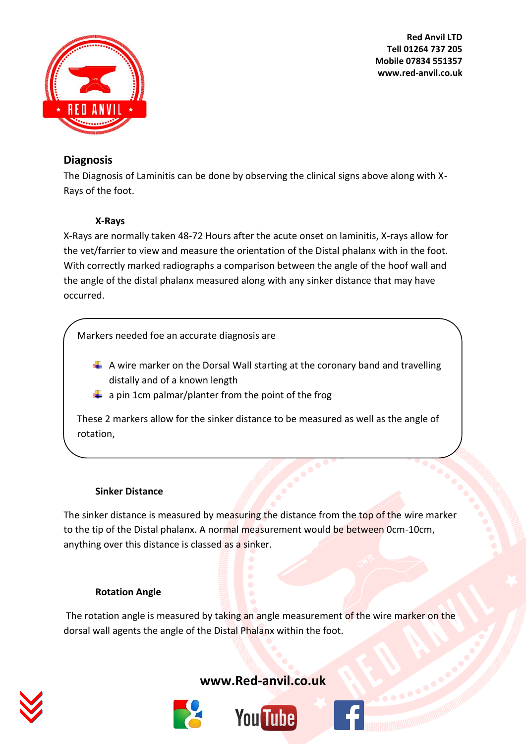

## **Diagnosis**

The Diagnosis of Laminitis can be done by observing the clinical signs above along with X-Rays of the foot.

## **X-Rays**

X-Rays are normally taken 48-72 Hours after the acute onset on laminitis, X-rays allow for the vet/farrier to view and measure the orientation of the Distal phalanx with in the foot. With correctly marked radiographs a comparison between the angle of the hoof wall and the angle of the distal phalanx measured along with any sinker distance that may have occurred.

Markers needed foe an accurate diagnosis are

- $\downarrow$  A wire marker on the Dorsal Wall starting at the coronary band and travelling distally and of a known length
- $\ddot{\bullet}$  a pin 1cm palmar/planter from the point of the frog

These 2 markers allow for the sinker distance to be measured as well as the angle of rotation,

## **Sinker Distance**

The sinker distance is measured by measuring the distance from the top of the wire marker to the tip of the Distal phalanx. A normal measurement would be between 0cm-10cm, anything over this distance is classed as a sinker.

## **Rotation Angle**

The rotation angle is measured by taking an angle measurement of the wire marker on the dorsal wall agents the angle of the Distal Phalanx within the foot.





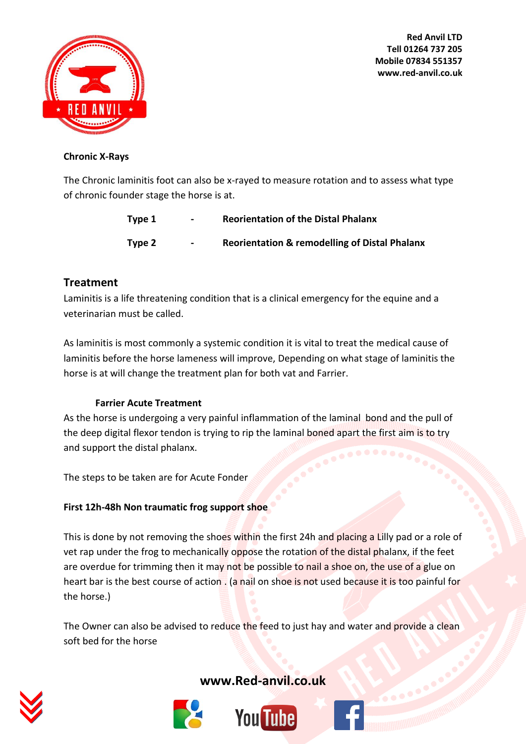

#### **Chronic X-Rays**

The Chronic laminitis foot can also be x-rayed to measure rotation and to assess what type of chronic founder stage the horse is at.

| Type 1 | $\overline{\phantom{a}}$ | <b>Reorientation of the Distal Phalanx</b>               |
|--------|--------------------------|----------------------------------------------------------|
| Type 2 | $\sim$                   | <b>Reorientation &amp; remodelling of Distal Phalanx</b> |

## **Treatment**

Laminitis is a life threatening condition that is a clinical emergency for the equine and a veterinarian must be called.

As laminitis is most commonly a systemic condition it is vital to treat the medical cause of laminitis before the horse lameness will improve, Depending on what stage of laminitis the horse is at will change the treatment plan for both vat and Farrier.

## **Farrier Acute Treatment**

As the horse is undergoing a very painful inflammation of the laminal bond and the pull of the deep digital flexor tendon is trying to rip the laminal boned apart the first aim is to try and support the distal phalanx.

The steps to be taken are for Acute Fonder

## **First 12h-48h Non traumatic frog support shoe**

This is done by not removing the shoes within the first 24h and placing a Lilly pad or a role of vet rap under the frog to mechanically oppose the rotation of the distal phalanx, if the feet are overdue for trimming then it may not be possible to nail a shoe on, the use of a glue on heart bar is the best course of action . (a nail on shoe is not used because it is too painful for the horse.)

The Owner can also be advised to reduce the feed to just hay and water and provide a clean soft bed for the horse





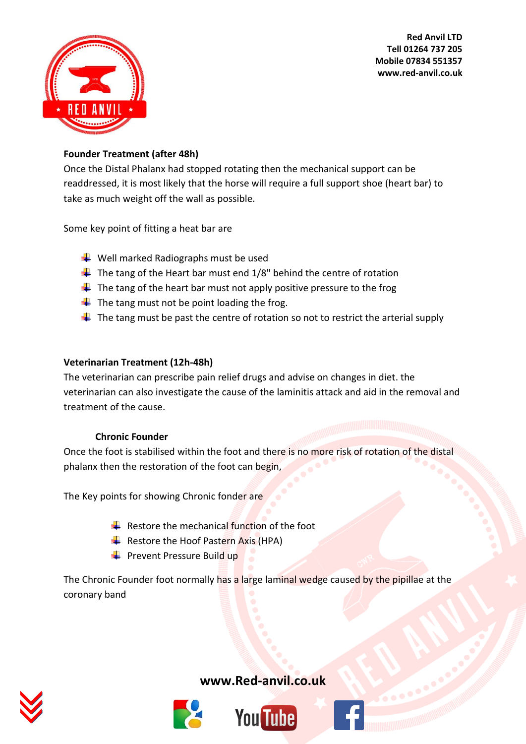

## **Founder Treatment (after 48h)**

Once the Distal Phalanx had stopped rotating then the mechanical support can be readdressed, it is most likely that the horse will require a full support shoe (heart bar) to take as much weight off the wall as possible.

Some key point of fitting a heat bar are

- $\bigstar$  Well marked Radiographs must be used
- $\ddot$  The tang of the Heart bar must end 1/8" behind the centre of rotation
- $\downarrow$  The tang of the heart bar must not apply positive pressure to the frog
- $\ddot{\bullet}$  The tang must not be point loading the frog.
- $\downarrow$  The tang must be past the centre of rotation so not to restrict the arterial supply

#### **Veterinarian Treatment (12h-48h)**

The veterinarian can prescribe pain relief drugs and advise on changes in diet. the veterinarian can also investigate the cause of the laminitis attack and aid in the removal and treatment of the cause.

#### **Chronic Founder**

Once the foot is stabilised within the foot and there is no more risk of rotation of the distal phalanx then the restoration of the foot can begin,

The Key points for showing Chronic fonder are

- Restore the mechanical function of the foot
- Restore the Hoof Pastern Axis (HPA)
- $\frac{1}{2}$  Prevent Pressure Build up

The Chronic Founder foot normally has a large laminal wedge caused by the pipillae at the coronary band